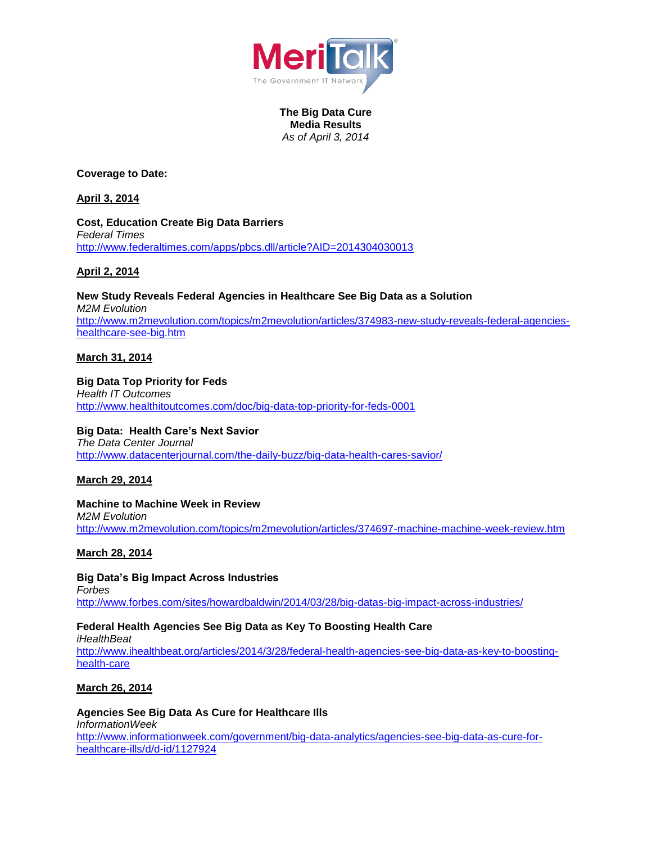

**The Big Data Cure Media Results** *As of April 3, 2014*

**Coverage to Date:**

**April 3, 2014**

**Cost, Education Create Big Data Barriers** *Federal Times* <http://www.federaltimes.com/apps/pbcs.dll/article?AID=2014304030013>

**April 2, 2014**

**New Study Reveals Federal Agencies in Healthcare See Big Data as a Solution** *M2M Evolution* [http://www.m2mevolution.com/topics/m2mevolution/articles/374983-new-study-reveals-federal-agencies](http://www.m2mevolution.com/topics/m2mevolution/articles/374983-new-study-reveals-federal-agencies-healthcare-see-big.htm)[healthcare-see-big.htm](http://www.m2mevolution.com/topics/m2mevolution/articles/374983-new-study-reveals-federal-agencies-healthcare-see-big.htm)

# **March 31, 2014**

# **Big Data Top Priority for Feds**

*Health IT Outcomes* <http://www.healthitoutcomes.com/doc/big-data-top-priority-for-feds-0001>

## **Big Data: Health Care's Next Savior**

*The Data Center Journal* <http://www.datacenterjournal.com/the-daily-buzz/big-data-health-cares-savior/>

**March 29, 2014**

## **Machine to Machine Week in Review**

*M2M Evolution* <http://www.m2mevolution.com/topics/m2mevolution/articles/374697-machine-machine-week-review.htm>

# **March 28, 2014**

**Big Data's Big Impact Across Industries** *Forbes* <http://www.forbes.com/sites/howardbaldwin/2014/03/28/big-datas-big-impact-across-industries/>

**Federal Health Agencies See Big Data as Key To Boosting Health Care** *iHealthBeat* [http://www.ihealthbeat.org/articles/2014/3/28/federal-health-agencies-see-big-data-as-key-to-boosting](http://www.ihealthbeat.org/articles/2014/3/28/federal-health-agencies-see-big-data-as-key-to-boosting-health-care)[health-care](http://www.ihealthbeat.org/articles/2014/3/28/federal-health-agencies-see-big-data-as-key-to-boosting-health-care)

# **March 26, 2014**

**Agencies See Big Data As Cure for Healthcare Ills** *InformationWeek* [http://www.informationweek.com/government/big-data-analytics/agencies-see-big-data-as-cure-for](http://www.informationweek.com/government/big-data-analytics/agencies-see-big-data-as-cure-for-healthcare-ills/d/d-id/1127924)[healthcare-ills/d/d-id/1127924](http://www.informationweek.com/government/big-data-analytics/agencies-see-big-data-as-cure-for-healthcare-ills/d/d-id/1127924)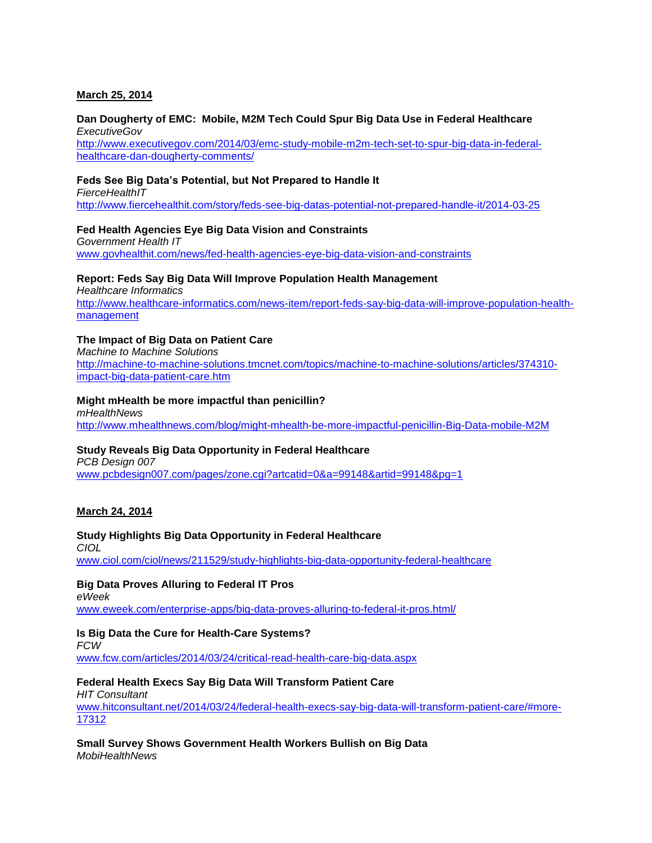## **March 25, 2014**

#### **Dan Dougherty of EMC: Mobile, M2M Tech Could Spur Big Data Use in Federal Healthcare** *ExecutiveGov*

[http://www.executivegov.com/2014/03/emc-study-mobile-m2m-tech-set-to-spur-big-data-in-federal](http://www.executivegov.com/2014/03/emc-study-mobile-m2m-tech-set-to-spur-big-data-in-federal-healthcare-dan-dougherty-comments/)[healthcare-dan-dougherty-comments/](http://www.executivegov.com/2014/03/emc-study-mobile-m2m-tech-set-to-spur-big-data-in-federal-healthcare-dan-dougherty-comments/)

## **Feds See Big Data's Potential, but Not Prepared to Handle It**

*FierceHealthIT* <http://www.fiercehealthit.com/story/feds-see-big-datas-potential-not-prepared-handle-it/2014-03-25>

## **Fed Health Agencies Eye Big Data Vision and Constraints**

*Government Health IT* [www.govhealthit.com/news/fed-health-agencies-eye-big-data-vision-and-constraints](http://www.govhealthit.com/news/fed-health-agencies-eye-big-data-vision-and-constraints)

## **Report: Feds Say Big Data Will Improve Population Health Management**

*Healthcare Informatics* [http://www.healthcare-informatics.com/news-item/report-feds-say-big-data-will-improve-population-health](http://www.healthcare-informatics.com/news-item/report-feds-say-big-data-will-improve-population-health-management)[management](http://www.healthcare-informatics.com/news-item/report-feds-say-big-data-will-improve-population-health-management)

## **The Impact of Big Data on Patient Care**

*Machine to Machine Solutions* [http://machine-to-machine-solutions.tmcnet.com/topics/machine-to-machine-solutions/articles/374310](http://machine-to-machine-solutions.tmcnet.com/topics/machine-to-machine-solutions/articles/374310-impact-big-data-patient-care.htm) [impact-big-data-patient-care.htm](http://machine-to-machine-solutions.tmcnet.com/topics/machine-to-machine-solutions/articles/374310-impact-big-data-patient-care.htm)

#### **Might mHealth be more impactful than penicillin?**

*mHealthNews* <http://www.mhealthnews.com/blog/might-mhealth-be-more-impactful-penicillin-Big-Data-mobile-M2M>

## **Study Reveals Big Data Opportunity in Federal Healthcare**

*PCB Design 007* [www.pcbdesign007.com/pages/zone.cgi?artcatid=0&a=99148&artid=99148&pg=1](http://www.pcbdesign007.com/pages/zone.cgi?artcatid=0&a=99148&artid=99148&pg=1)

## **March 24, 2014**

## **Study Highlights Big Data Opportunity in Federal Healthcare**

*CIOL* [www.ciol.com/ciol/news/211529/study-highlights-big-data-opportunity-federal-healthcare](http://www.ciol.com/ciol/news/211529/study-highlights-big-data-opportunity-federal-healthcare)

## **Big Data Proves Alluring to Federal IT Pros**

*eWeek* [www.eweek.com/enterprise-apps/big-data-proves-alluring-to-federal-it-pros.html/](http://www.eweek.com/enterprise-apps/big-data-proves-alluring-to-federal-it-pros.html/)

## **Is Big Data the Cure for Health-Care Systems?**

*FCW* [www.fcw.com/articles/2014/03/24/critical-read-health-care-big-data.aspx](http://www.fcw.com/articles/2014/03/24/critical-read-health-care-big-data.aspx)

## **Federal Health Execs Say Big Data Will Transform Patient Care**

*HIT Consultant* [www.hitconsultant.net/2014/03/24/federal-health-execs-say-big-data-will-transform-patient-care/#more-](http://www.hitconsultant.net/2014/03/24/federal-health-execs-say-big-data-will-transform-patient-care/#more-17312)[17312](http://www.hitconsultant.net/2014/03/24/federal-health-execs-say-big-data-will-transform-patient-care/#more-17312)

**Small Survey Shows Government Health Workers Bullish on Big Data** *MobiHealthNews*